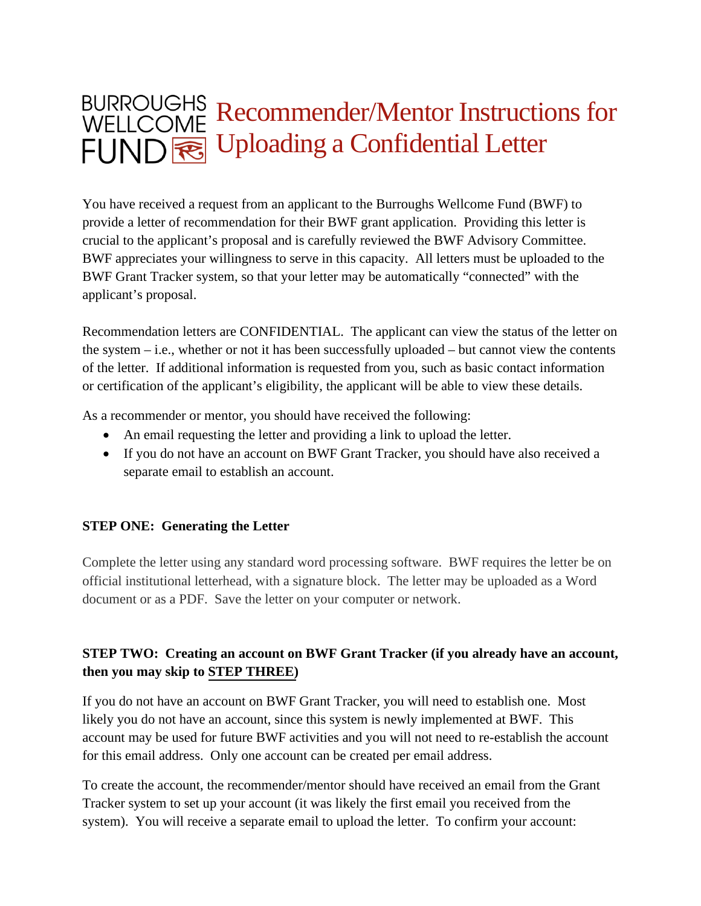## BURROUGHS Recommender/Mentor Instructions for FUND R Uploading a Confidential Letter

You have received a request from an applicant to the Burroughs Wellcome Fund (BWF) to provide a letter of recommendation for their BWF grant application. Providing this letter is crucial to the applicant's proposal and is carefully reviewed the BWF Advisory Committee. BWF appreciates your willingness to serve in this capacity. All letters must be uploaded to the BWF Grant Tracker system, so that your letter may be automatically "connected" with the applicant's proposal.

Recommendation letters are CONFIDENTIAL. The applicant can view the status of the letter on the system – i.e., whether or not it has been successfully uploaded – but cannot view the contents of the letter. If additional information is requested from you, such as basic contact information or certification of the applicant's eligibility, the applicant will be able to view these details.

As a recommender or mentor, you should have received the following:

- An email requesting the letter and providing a link to upload the letter.
- If you do not have an account on BWF Grant Tracker, you should have also received a separate email to establish an account.

### **STEP ONE: Generating the Letter**

Complete the letter using any standard word processing software. BWF requires the letter be on official institutional letterhead, with a signature block. The letter may be uploaded as a Word document or as a PDF. Save the letter on your computer or network.

### **STEP TWO: Creating an account on BWF Grant Tracker (if you already have an account, then you may skip to [STEP THREE\)](#page-4-0)**

If you do not have an account on BWF Grant Tracker, you will need to establish one. Most likely you do not have an account, since this system is newly implemented at BWF. This account may be used for future BWF activities and you will not need to re-establish the account for this email address. Only one account can be created per email address.

To create the account, the recommender/mentor should have received an email from the Grant Tracker system to set up your account (it was likely the first email you received from the system). You will receive a separate email to upload the letter. To confirm your account: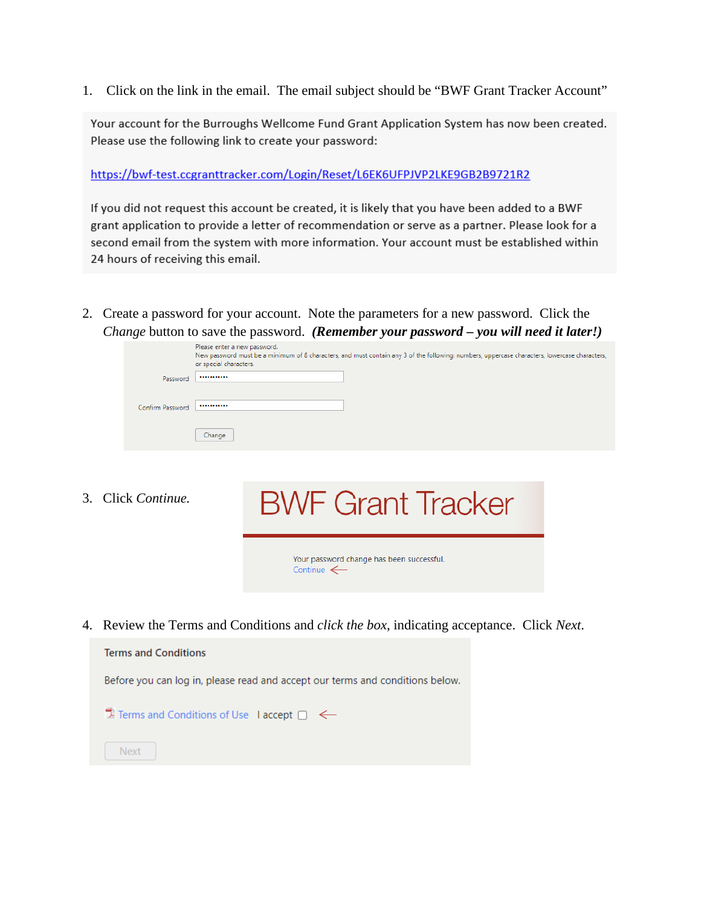1. Click on the link in the email. The email subject should be "BWF Grant Tracker Account"

Your account for the Burroughs Wellcome Fund Grant Application System has now been created. Please use the following link to create your password:

https://bwf-test.ccgranttracker.com/Login/Reset/L6EK6UFPJVP2LKE9GB2B9721R2

If you did not request this account be created, it is likely that you have been added to a BWF grant application to provide a letter of recommendation or serve as a partner. Please look for a second email from the system with more information. Your account must be established within 24 hours of receiving this email.

2. Create a password for your account. Note the parameters for a new password. Click the *Change* button to save the password. *(Remember your password – you will need it later!)*

|                  | Please enter a new password.<br>New password must be a minimum of 8 characters, and must contain any 3 of the following: numbers, uppercase characters, lowercase characters,<br>or special characters. |
|------------------|---------------------------------------------------------------------------------------------------------------------------------------------------------------------------------------------------------|
| Password         |                                                                                                                                                                                                         |
|                  |                                                                                                                                                                                                         |
| Confirm Password |                                                                                                                                                                                                         |
|                  | Change                                                                                                                                                                                                  |

3. Click *Continue.*

# **BWF Grant Tracker**

Your password change has been successful. Continue  $\leftarrow$ 

4. Review the Terms and Conditions and *click the box*, indicating acceptance. Click *Next*.

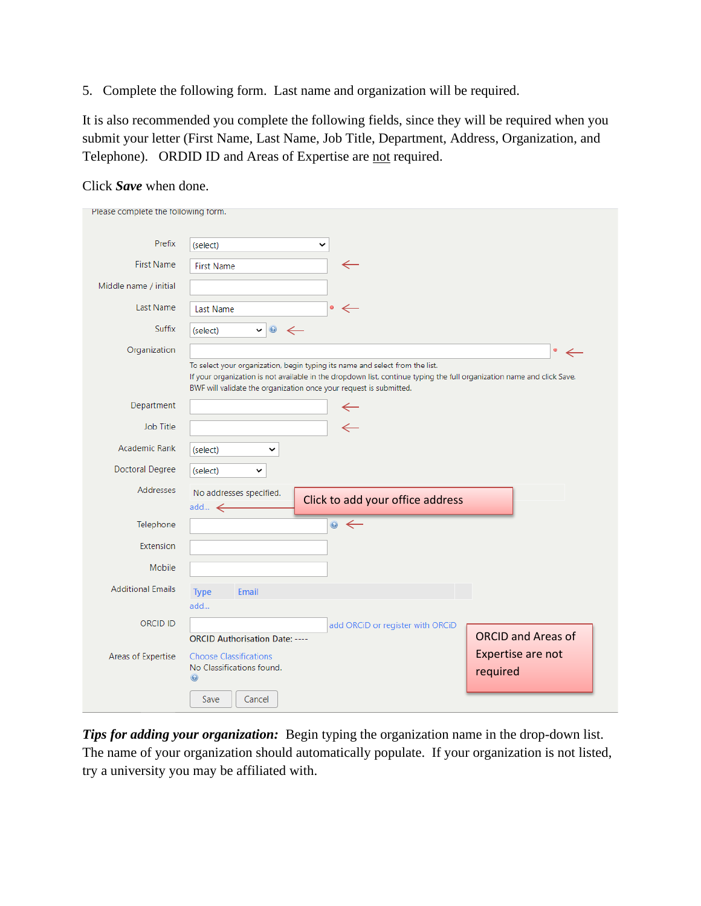<span id="page-2-0"></span>5. Complete the following form. Last name and organization will be required.

It is also recommended you complete the following fields, since they will be required when you submit your letter (First Name, Last Name, Job Title, Department, Address, Organization, and Telephone). ORDID ID and Areas of Expertise are not required.

#### Click *Save* when done.

*Tips for adding your organization:* Begin typing the organization name in the drop-down list. The name of your organization should automatically populate. If your organization is not listed, try a university you may be affiliated with.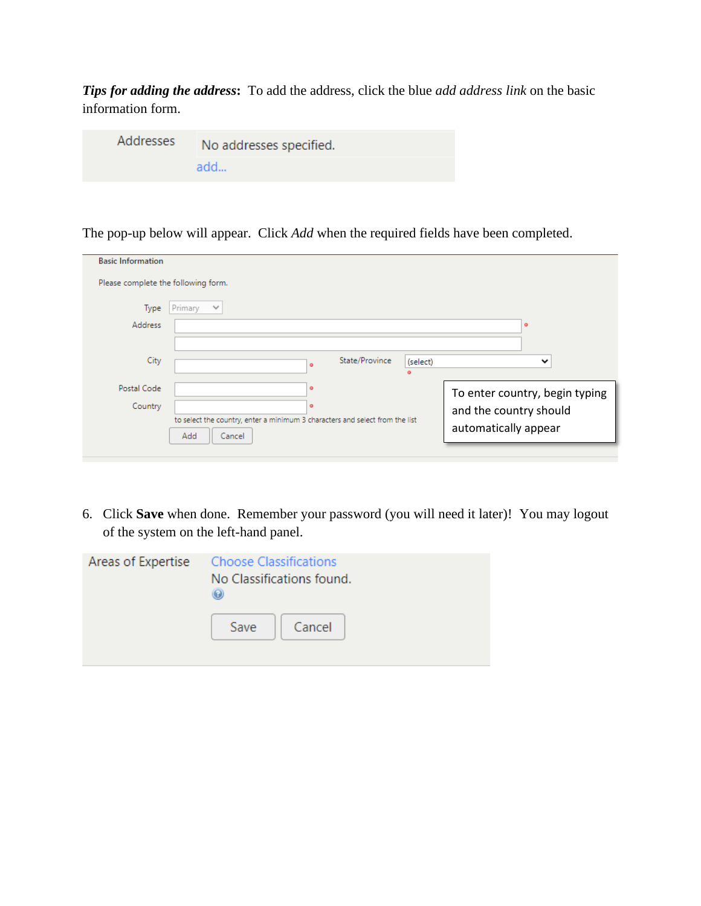*Tips for adding the address***:** To add the address, click the blue *add address link* on the basic information form.

| Addresses | No addresses specified. |
|-----------|-------------------------|
|           | add                     |

The pop-up below will appear. Click *Add* when the required fields have been completed.

| <b>Basic Information</b>            |                                                                              |                                |
|-------------------------------------|------------------------------------------------------------------------------|--------------------------------|
| Please complete the following form. |                                                                              |                                |
| Type                                | Primary<br>$\checkmark$                                                      |                                |
| <b>Address</b>                      |                                                                              | ۰                              |
|                                     |                                                                              |                                |
| City                                | State/Province<br>(select)<br>$\bullet$<br>ö                                 | $\checkmark$                   |
| Postal Code                         | $\bullet$                                                                    | To enter country, begin typing |
| Country                             | $\circ$                                                                      | and the country should         |
|                                     | to select the country, enter a minimum 3 characters and select from the list | automatically appear           |
|                                     | Add<br>Cancel                                                                |                                |

6. Click **Save** when done. Remember your password (you will need it later)! You may logout of the system on the left-hand panel.

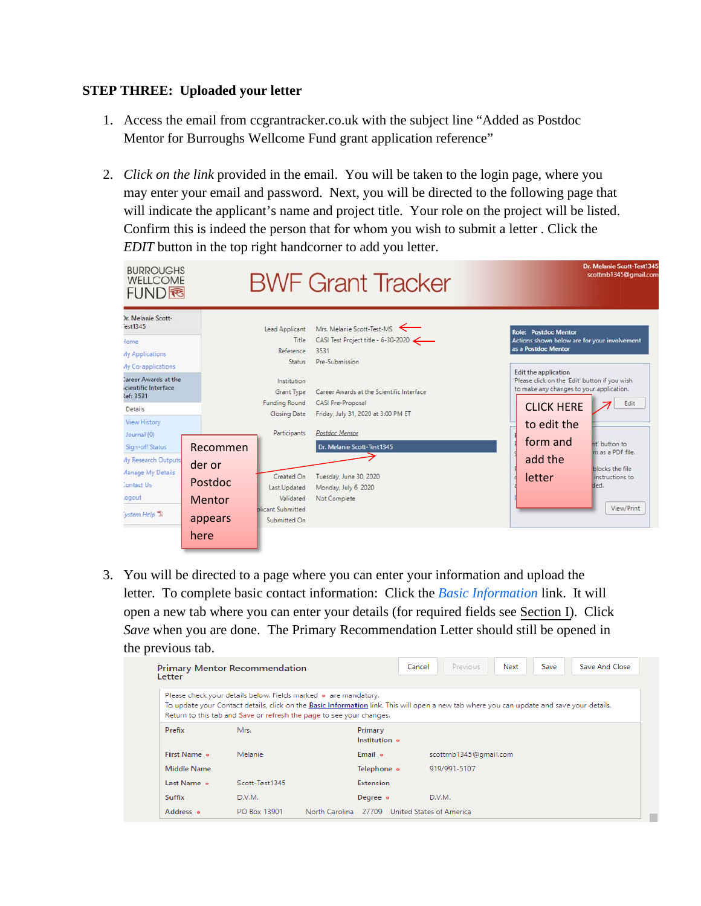#### <span id="page-4-0"></span>**STEP THREE: Uploaded your letter**

- 1. Access the email from ccgrantracker.co.uk with the subject line "Added as Postdoc Mentor for Burroughs Wellcome Fund grant application reference"
- 2. *Click on the link* provided in the email. You will be taken to the login page, where you may enter your email and password. Next, you will be directed to the following page that will indicate the applicant's name and project title. Your role on the project will be listed. Confirm this is indeed the person that for whom you wish to submit a letter . Click the *EDIT* button in the top right handcorner to add you letter.

| <b>BURROUGHS</b><br><b>WELLCOME</b><br>FUND图                                                                           |                                                           |                                                                                     | <b>BWF Grant Tracker</b>                                                                                                |                                                                                                                                                       | мь властите замлечески зар<br>scottmb1345@gmail.com                                           |
|------------------------------------------------------------------------------------------------------------------------|-----------------------------------------------------------|-------------------------------------------------------------------------------------|-------------------------------------------------------------------------------------------------------------------------|-------------------------------------------------------------------------------------------------------------------------------------------------------|-----------------------------------------------------------------------------------------------|
| Ir. Melanie Scott-<br>est1345<br>lome<br>My Applications<br>My Co-applications                                         |                                                           | Lead Applicant<br>Title<br>Reference<br>Status.                                     | Mrs. Melanie Scott-Test-MS<br>CASI Test Project title - 6-30-2020<br>3531<br>Pre-Submission                             | <b>Role: Postdoc Mentor</b><br>Actions shown below are for your involvement<br>as a Postdoc Mentor                                                    |                                                                                               |
| Career Awards at the<br>cientific Interface<br>lef: 3531<br>Details<br><b>View History</b><br>Journal (0)              |                                                           | Institution<br>Grant Type<br><b>Funding Round</b><br>Closing Date<br>Participants   | Career Awards at the Scientific Interface<br>CASI Pre-Proposal<br>Friday, July 31, 2020 at 3:00 PM ET<br>Postdoc Mentor | Edit the application<br>Please click on the 'Edit' button if you wish<br>to make any changes to your application.<br><b>CLICK HERE</b><br>to edit the | Edit                                                                                          |
| Sign-off Status<br><b>My Research Outputs</b><br><b>Manage My Details</b><br><b>Contact Us</b><br>.ogout<br>ystem Help | Recommen<br>der or<br>Postdoc<br><b>Mentor</b><br>appears | Created On<br>Last Updated<br>Validated<br><b>plicant Submitted</b><br>Submitted On | Dr. Melanie Scott-Test1345<br>Tuesday, June 30, 2020<br>Monday, July 6, 2020<br>Not Complete                            | form and<br>add the<br>letter                                                                                                                         | nt' button to<br>m as a PDF file.<br>blocks the file<br>instructions to<br>ded.<br>View/Print |
|                                                                                                                        | here                                                      |                                                                                     |                                                                                                                         |                                                                                                                                                       |                                                                                               |

3. You will be directed to a page where you can enter your information and upload the letter. To complete basic contact information: Click the *Basic Information* link. It will open a new tab where you can enter your details (for required fields see [Section I\)](#page-2-0). Click *Save* when you are done. The Primary Recommendation Letter should still be opened in the previous tab.

| Letter        | <b>Primary Mentor Recommendation</b>                                                                                                    |                                                                                                                                           | Previous<br>Cancel       | Next | Save | Save And Close |
|---------------|-----------------------------------------------------------------------------------------------------------------------------------------|-------------------------------------------------------------------------------------------------------------------------------------------|--------------------------|------|------|----------------|
|               | Please check your details below. Fields marked . are mandatory.<br>Return to this tab and Save or refresh the page to see your changes. | To update your Contact details, click on the Basic Information link. This will open a new tab where you can update and save your details. |                          |      |      |                |
| Prefix        | Mrs.                                                                                                                                    | <b>Primary</b><br>Institution .                                                                                                           |                          |      |      |                |
| First Name of | Melanie                                                                                                                                 | Email o                                                                                                                                   | scottmb1345@gmail.com    |      |      |                |
| Middle Name   |                                                                                                                                         | Telephone •                                                                                                                               | 919/991-5107             |      |      |                |
| Last Name o   | Scott-Test1345                                                                                                                          | Extension                                                                                                                                 |                          |      |      |                |
| Suffix        | D.V.M.                                                                                                                                  | Degree •                                                                                                                                  | D.V.M.                   |      |      |                |
| Address o     | PO Box 13901                                                                                                                            | North Carolina 27709                                                                                                                      | United States of America |      |      |                |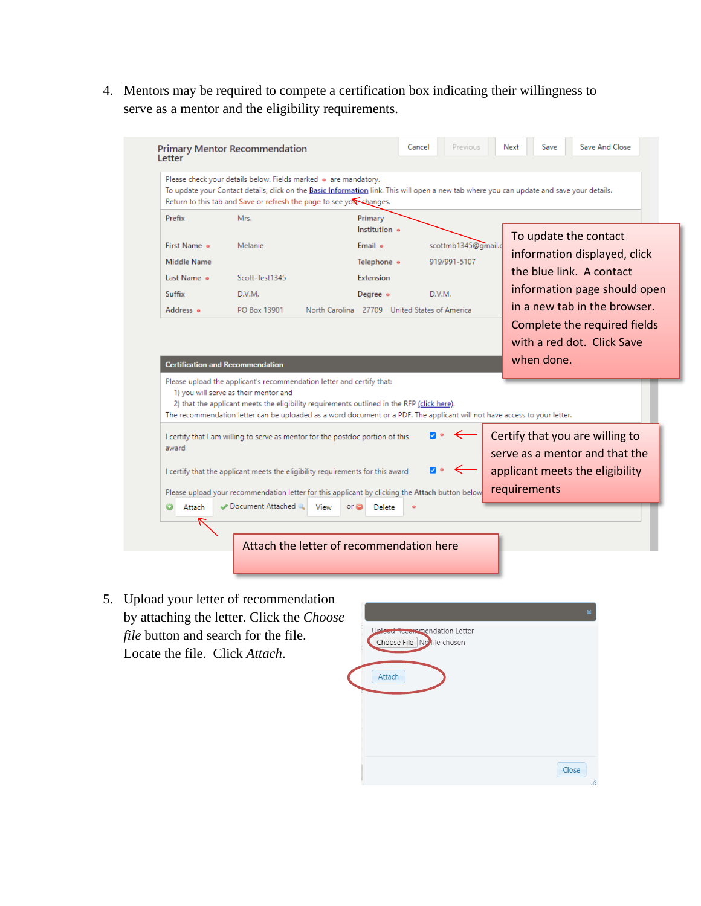4. Mentors may be required to compete a certification box indicating their willingness to serve as a mentor and the eligibility requirements.

|                    | To update your Contact details, click on the Basic Information link. This will open a new tab where you can update and save your details.<br>Return to this tab and Save or refresh the page to see you shanges.                                                 | Please check your details below. Fields marked . are mandatory. |     |                     |              |            |                                                                   |
|--------------------|------------------------------------------------------------------------------------------------------------------------------------------------------------------------------------------------------------------------------------------------------------------|-----------------------------------------------------------------|-----|---------------------|--------------|------------|-------------------------------------------------------------------|
| Prefix             | Mrs.                                                                                                                                                                                                                                                             | Primary<br>Institution of                                       |     |                     |              |            | To update the contact                                             |
| First Name o       | Melanie                                                                                                                                                                                                                                                          | Email o                                                         |     | scottmb1345@gmail.c |              |            |                                                                   |
| <b>Middle Name</b> |                                                                                                                                                                                                                                                                  | Telephone o                                                     |     | 919/991-5107        |              |            | information displayed, click                                      |
| Last Name o        | Scott-Test1345                                                                                                                                                                                                                                                   | Extension                                                       |     |                     |              |            | the blue link. A contact                                          |
| Suffix             | D.V.M.                                                                                                                                                                                                                                                           | Degree o                                                        |     | D.V.M.              |              |            | information page should open                                      |
| Address o          | PO Box 13901                                                                                                                                                                                                                                                     | North Carolina 27709 United States of America                   |     |                     |              |            | in a new tab in the browser.                                      |
|                    |                                                                                                                                                                                                                                                                  |                                                                 |     |                     |              |            |                                                                   |
|                    |                                                                                                                                                                                                                                                                  |                                                                 |     |                     |              |            |                                                                   |
|                    |                                                                                                                                                                                                                                                                  |                                                                 |     |                     |              |            | Complete the required fields<br>with a red dot. Click Save        |
|                    | <b>Certification and Recommendation</b><br>Please upload the applicant's recommendation letter and certify that:                                                                                                                                                 |                                                                 |     |                     |              | when done. |                                                                   |
|                    | 1) you will serve as their mentor and<br>2) that the applicant meets the eligibility requirements outlined in the RFP (click here).<br>The recommendation letter can be uploaded as a word document or a PDF. The applicant will not have access to your letter. |                                                                 |     |                     |              |            |                                                                   |
| award              | I certify that I am willing to serve as mentor for the postdoc portion of this                                                                                                                                                                                   |                                                                 | 7 ∘ |                     |              |            | Certify that you are willing to<br>serve as a mentor and that the |
|                    | I certify that the applicant meets the eligibility requirements for this award                                                                                                                                                                                   |                                                                 |     |                     |              |            | applicant meets the eligibility                                   |
|                    | Please upload your recommendation letter for this applicant by clicking the Attach button below                                                                                                                                                                  |                                                                 |     |                     | requirements |            |                                                                   |

5. Upload your letter of recommendation by attaching the letter. Click the *Choose file* button and search for the file. Locate the file. Click *Attach*.

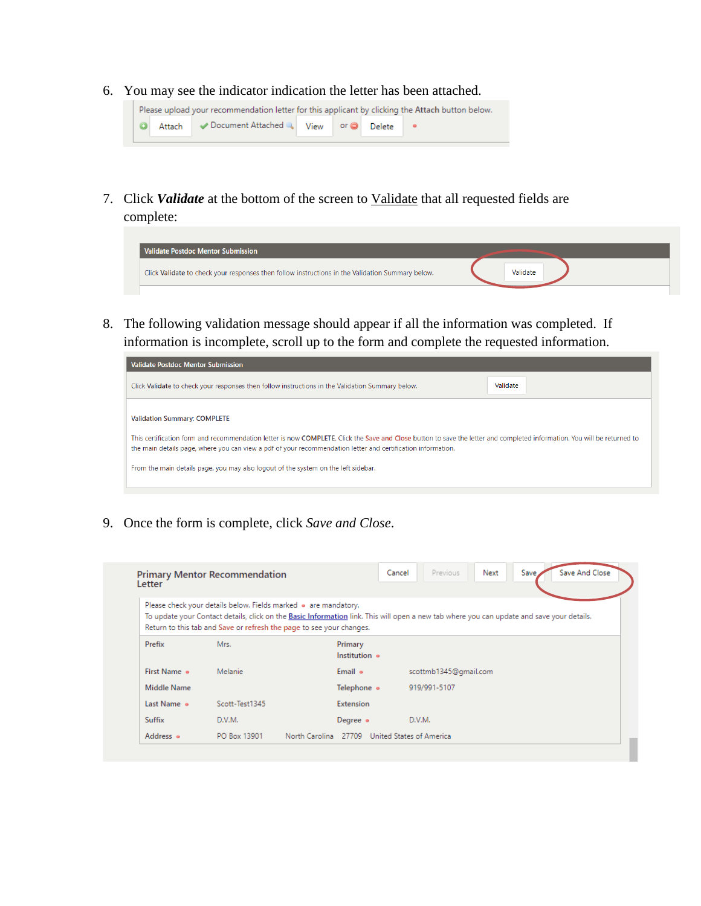6. You may see the indicator indication the letter has been attached.



7. Click *Validate* at the bottom of the screen to Validate that all requested fields are complete:



8. The following validation message should appear if all the information was completed. If information is incomplete, scroll up to the form and complete the requested information.



9. Once the form is complete, click *Save and Close*.

| Letter        | <b>Primary Mentor Recommendation</b>                                                                                                    |                          | Save And Close<br>Previous<br>Save,<br>Cancel<br>Next                                                                                     |
|---------------|-----------------------------------------------------------------------------------------------------------------------------------------|--------------------------|-------------------------------------------------------------------------------------------------------------------------------------------|
|               | Please check your details below. Fields marked • are mandatory.<br>Return to this tab and Save or refresh the page to see your changes. |                          | To update your Contact details, click on the Basic Information link. This will open a new tab where you can update and save your details. |
| Prefix        | Mrs.                                                                                                                                    | Primary<br>Institution o |                                                                                                                                           |
| First Name of | Melanie                                                                                                                                 | Email •                  | scottmb1345@gmail.com                                                                                                                     |
| Middle Name   |                                                                                                                                         | Telephone •              | 919/991-5107                                                                                                                              |
| Last Name o   | Scott-Test1345                                                                                                                          | <b>Extension</b>         |                                                                                                                                           |
| Suffix        | D.V.M.                                                                                                                                  | Degree o                 | D.V.M.                                                                                                                                    |
|               |                                                                                                                                         |                          |                                                                                                                                           |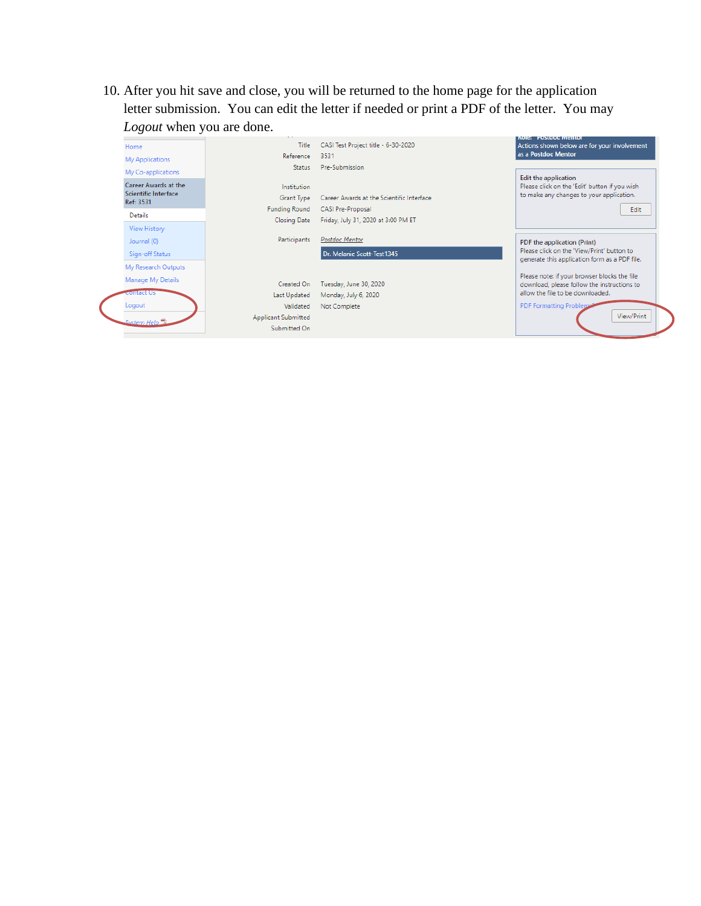10. After you hit save and close, you will be returned to the home page for the application letter submission. You can edit the letter if needed or print a PDF of the letter. You may *Logout* when you are done.

| Home<br><b>My Applications</b>                            | Title<br>Reference                   | CASI Test Project title - 6-30-2020<br>3531                     | <b>ENGINEERING STUDIES WIND INC.</b><br>Actions shown below are for your involvement<br>as a Postdoc Mentor              |
|-----------------------------------------------------------|--------------------------------------|-----------------------------------------------------------------|--------------------------------------------------------------------------------------------------------------------------|
| My Co-applications                                        | Status                               | Pre-Submission                                                  |                                                                                                                          |
| Career Awards at the<br>Scientific Interface<br>Ref: 3531 | Institution<br>Grant Type            | Career Awards at the Scientific Interface                       | <b>Edit the application</b><br>Please click on the 'Edit' button if you wish<br>to make any changes to your application. |
| Details                                                   | <b>Funding Round</b><br>Closing Date | <b>CASI Pre-Proposal</b><br>Friday, July 31, 2020 at 3:00 PM ET | Edit                                                                                                                     |
| View History                                              |                                      |                                                                 |                                                                                                                          |
| Journal (0)                                               | Participants                         | Postdoc Mentor                                                  | PDF the application (Print)                                                                                              |
| Sign-off Status                                           |                                      | Dr. Melanie Scott-Test1345                                      | Please click on the 'View/Print' button to<br>generate this application form as a PDF file.                              |
| My Research Outputs                                       |                                      |                                                                 |                                                                                                                          |
| Manage My Details                                         | Created On                           | Tuesday, June 30, 2020                                          | Please note: if your browser blocks the file<br>download, please follow the instructions to                              |
| <del>.onta</del> ct Us                                    | Last Updated                         | Monday, July 6, 2020                                            | allow the file to be downloaded.                                                                                         |
| Logout                                                    | Validated                            | Not Complete                                                    | <b>PDF Formatting Problems</b>                                                                                           |
| System Help                                               | <b>Applicant Submitted</b>           |                                                                 | View/Print                                                                                                               |
|                                                           | Submitted On                         |                                                                 |                                                                                                                          |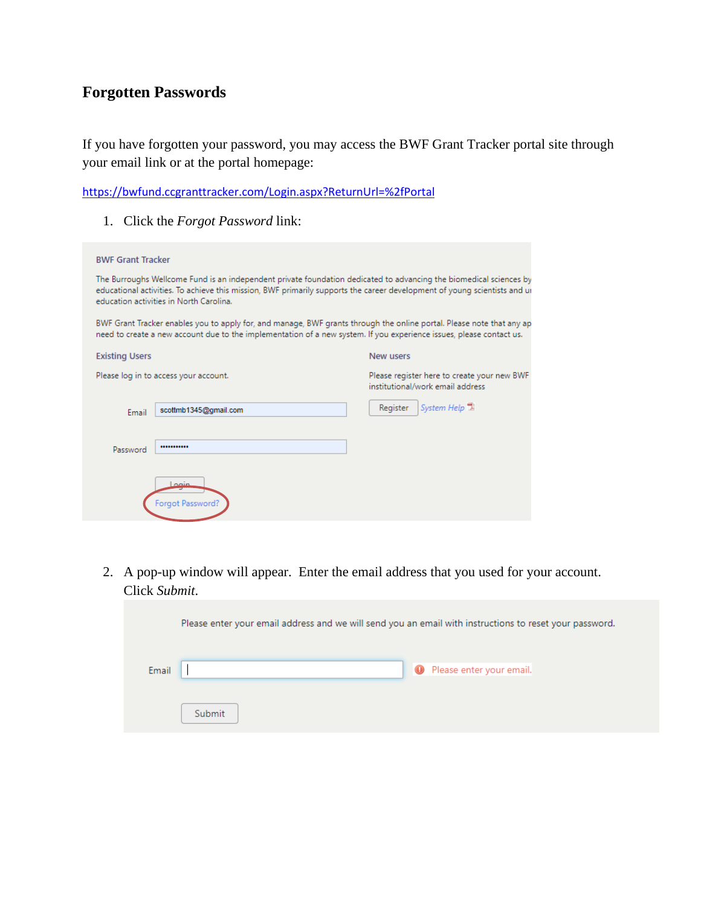### **Forgotten Passwords**

If you have forgotten your password, you may access the BWF Grant Tracker portal site through your email link or at the portal homepage:

<https://bwfund.ccgranttracker.com/Login.aspx?ReturnUrl=%2fPortal>

1. Click the *Forgot Password* link:

| <b>BWF Grant Tracker</b>                                                                                                                                                                                                                                                                   |                                                                                                                                                                                                                                               |                                                                                 |  |
|--------------------------------------------------------------------------------------------------------------------------------------------------------------------------------------------------------------------------------------------------------------------------------------------|-----------------------------------------------------------------------------------------------------------------------------------------------------------------------------------------------------------------------------------------------|---------------------------------------------------------------------------------|--|
| The Burroughs Wellcome Fund is an independent private foundation dedicated to advancing the biomedical sciences by<br>educational activities. To achieve this mission, BWF primarily supports the career development of young scientists and ur<br>education activities in North Carolina. |                                                                                                                                                                                                                                               |                                                                                 |  |
|                                                                                                                                                                                                                                                                                            | BWF Grant Tracker enables you to apply for, and manage, BWF grants through the online portal. Please note that any ap<br>need to create a new account due to the implementation of a new system. If you experience issues, please contact us. |                                                                                 |  |
| <b>Existing Users</b>                                                                                                                                                                                                                                                                      |                                                                                                                                                                                                                                               | New users                                                                       |  |
|                                                                                                                                                                                                                                                                                            | Please log in to access your account.                                                                                                                                                                                                         | Please register here to create your new BWF<br>institutional/work email address |  |
| Email                                                                                                                                                                                                                                                                                      | scottmb1345@gmail.com                                                                                                                                                                                                                         | System Help <sup>1</sup><br>Register                                            |  |
| Password                                                                                                                                                                                                                                                                                   |                                                                                                                                                                                                                                               |                                                                                 |  |
|                                                                                                                                                                                                                                                                                            | منمما<br>Forgot Password?                                                                                                                                                                                                                     |                                                                                 |  |

2. A pop-up window will appear. Enter the email address that you used for your account. Click *Submit*.